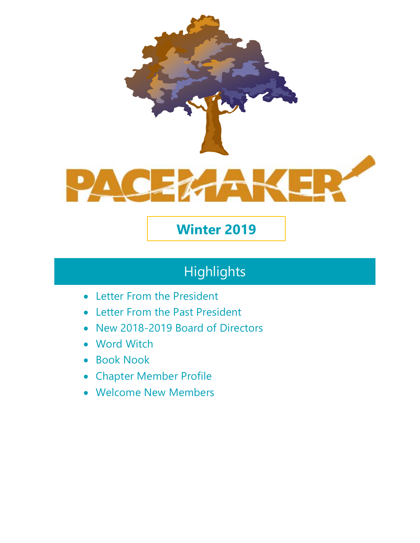

# **Winter 2019**

# **Highlights**

- Letter From the President
- Letter From the Past President
- New 2018-2019 Board of Directors
- Word Witch
- Book Nook
- Chapter Member Profile
- Welcome New Members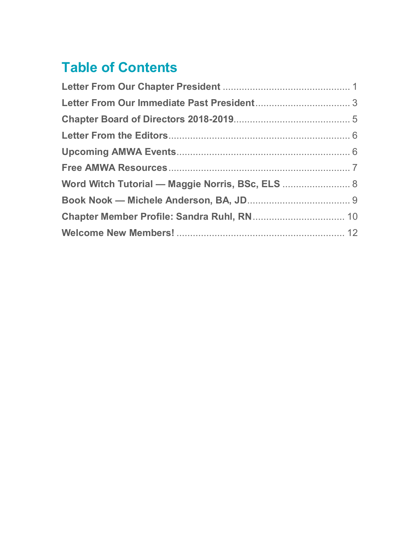# **Table of Contents**

| Word Witch Tutorial - Maggie Norris, BSc, ELS  8 |
|--------------------------------------------------|
|                                                  |
|                                                  |
|                                                  |
|                                                  |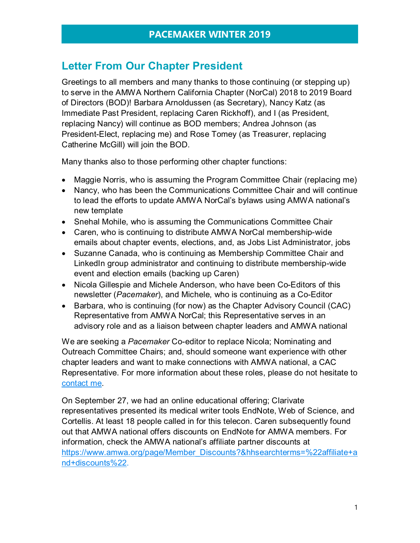## <span id="page-2-0"></span>**Letter From Our Chapter President**

Greetings to all members and many thanks to those continuing (or stepping up) to serve in the AMWA Northern California Chapter (NorCal) 2018 to 2019 Board of Directors (BOD)! Barbara Arnoldussen (as Secretary), Nancy Katz (as Immediate Past President, replacing Caren Rickhoff), and I (as President, replacing Nancy) will continue as BOD members; Andrea Johnson (as President-Elect, replacing me) and Rose Tomey (as Treasurer, replacing Catherine McGill) will join the BOD.

Many thanks also to those performing other chapter functions:

- Maggie Norris, who is assuming the Program Committee Chair (replacing me)
- Nancy, who has been the Communications Committee Chair and will continue to lead the efforts to update AMWA NorCal's bylaws using AMWA national's new template
- Snehal Mohile, who is assuming the Communications Committee Chair
- Caren, who is continuing to distribute AMWA NorCal membership-wide emails about chapter events, elections, and, as Jobs List Administrator, jobs
- Suzanne Canada, who is continuing as Membership Committee Chair and LinkedIn group administrator and continuing to distribute membership-wide event and election emails (backing up Caren)
- Nicola Gillespie and Michele Anderson, who have been Co-Editors of this newsletter (*Pacemaker*), and Michele, who is continuing as a Co-Editor
- Barbara, who is continuing (for now) as the Chapter Advisory Council (CAC) Representative from AMWA NorCal; this Representative serves in an advisory role and as a liaison between chapter leaders and AMWA national

We are seeking a *Pacemaker* Co-editor to replace Nicola; Nominating and Outreach Committee Chairs; and, should someone want experience with other chapter leaders and want to make connections with AMWA national, a CAC Representative. For more information about these roles, please do not hesitate to [contact me.](http://amwancal.org/contacts/)

On September 27, we had an online educational offering; Clarivate representatives presented its medical writer tools EndNote, Web of Science, and Cortellis. At least 18 people called in for this telecon. Caren subsequently found out that AMWA national offers discounts on EndNote for AMWA members. For information, check the AMWA national's affiliate partner discounts at [https://www.amwa.org/page/Member\\_Discounts?&hhsearchterms=%22affiliate+a](https://www.amwa.org/page/Member_Discounts?&hhsearchterms=%22affiliate+and+discounts%22) [nd+discounts%22.](https://www.amwa.org/page/Member_Discounts?&hhsearchterms=%22affiliate+and+discounts%22)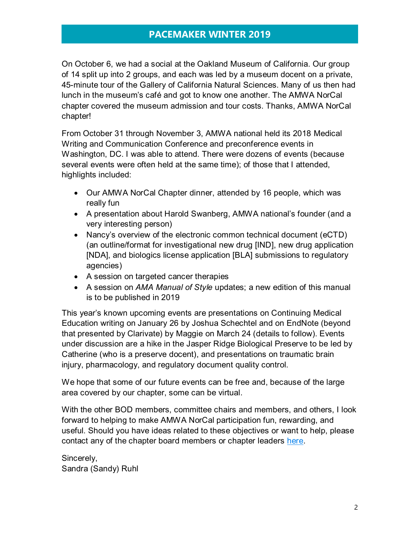On October 6, we had a social at the Oakland Museum of California. Our group of 14 split up into 2 groups, and each was led by a museum docent on a private, 45-minute tour of the Gallery of California Natural Sciences. Many of us then had lunch in the museum's café and got to know one another. The AMWA NorCal chapter covered the museum admission and tour costs. Thanks, AMWA NorCal chapter!

From October 31 through November 3, AMWA national held its 2018 Medical Writing and Communication Conference and preconference events in Washington, DC. I was able to attend. There were dozens of events (because several events were often held at the same time); of those that I attended, highlights included:

- Our AMWA NorCal Chapter dinner, attended by 16 people, which was really fun
- A presentation about Harold Swanberg, AMWA national's founder (and a very interesting person)
- Nancy's overview of the electronic common technical document (eCTD) (an outline/format for investigational new drug [IND], new drug application [NDA], and biologics license application [BLA] submissions to regulatory agencies)
- A session on targeted cancer therapies
- A session on *AMA Manual of Style* updates; a new edition of this manual is to be published in 2019

This year's known upcoming events are presentations on Continuing Medical Education writing on January 26 by Joshua Schechtel and on EndNote (beyond that presented by Clarivate) by Maggie on March 24 (details to follow). Events under discussion are a hike in the Jasper Ridge Biological Preserve to be led by Catherine (who is a preserve docent), and presentations on traumatic brain injury, pharmacology, and regulatory document quality control.

We hope that some of our future events can be free and, because of the large area covered by our chapter, some can be virtual.

With the other BOD members, committee chairs and members, and others, I look forward to helping to make AMWA NorCal participation fun, rewarding, and useful. Should you have ideas related to these objectives or want to help, please contact any of the chapter board members or chapter leaders [here.](http://amwancal.org/contacts/)

Sincerely, Sandra (Sandy) Ruhl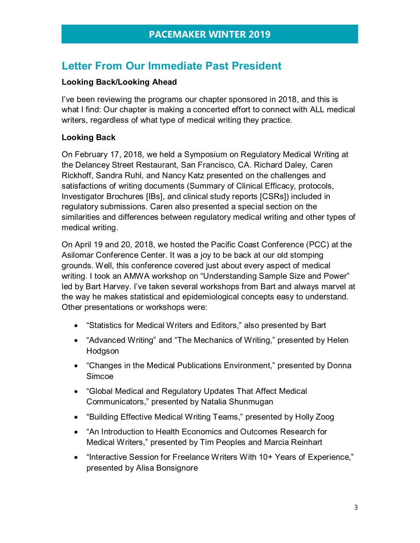# <span id="page-4-0"></span>**Letter From Our Immediate Past President**

### **Looking Back/Looking Ahead**

I've been reviewing the programs our chapter sponsored in 2018, and this is what I find: Our chapter is making a concerted effort to connect with ALL medical writers, regardless of what type of medical writing they practice.

### **Looking Back**

On February 17, 2018, we held a Symposium on Regulatory Medical Writing at the Delancey Street Restaurant, San Francisco, CA. Richard Daley, Caren Rickhoff, Sandra Ruhl, and Nancy Katz presented on the challenges and satisfactions of writing documents (Summary of Clinical Efficacy, protocols, Investigator Brochures [IBs], and clinical study reports [CSRs]) included in regulatory submissions. Caren also presented a special section on the similarities and differences between regulatory medical writing and other types of medical writing.

On April 19 and 20, 2018, we hosted the Pacific Coast Conference (PCC) at the Asilomar Conference Center. It was a joy to be back at our old stomping grounds. Well, this conference covered just about every aspect of medical writing. I took an AMWA workshop on "Understanding Sample Size and Power" led by Bart Harvey. I've taken several workshops from Bart and always marvel at the way he makes statistical and epidemiological concepts easy to understand. Other presentations or workshops were:

- "Statistics for Medical Writers and Editors," also presented by Bart
- "Advanced Writing" and "The Mechanics of Writing," presented by Helen Hodgson
- "Changes in the Medical Publications Environment," presented by Donna Simcoe
- "Global Medical and Regulatory Updates That Affect Medical Communicators," presented by Natalia Shunmugan
- "Building Effective Medical Writing Teams," presented by Holly Zoog
- "An Introduction to Health Economics and Outcomes Research for Medical Writers," presented by Tim Peoples and Marcia Reinhart
- "Interactive Session for Freelance Writers With 10+ Years of Experience," presented by Alisa Bonsignore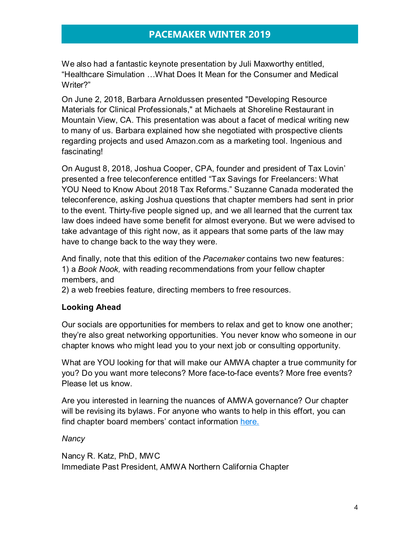We also had a fantastic keynote presentation by Juli Maxworthy entitled, "Healthcare Simulation …What Does It Mean for the Consumer and Medical Writer?"

On June 2, 2018, Barbara Arnoldussen presented "Developing Resource Materials for Clinical Professionals," at Michaels at Shoreline Restaurant in Mountain View, CA. This presentation was about a facet of medical writing new to many of us. Barbara explained how she negotiated with prospective clients regarding projects and used Amazon.com as a marketing tool. Ingenious and fascinating!

On August 8, 2018, Joshua Cooper, CPA, founder and president of Tax Lovin' presented a free teleconference entitled "Tax Savings for Freelancers: What YOU Need to Know About 2018 Tax Reforms." Suzanne Canada moderated the teleconference, asking Joshua questions that chapter members had sent in prior to the event. Thirty-five people signed up, and we all learned that the current tax law does indeed have some benefit for almost everyone. But we were advised to take advantage of this right now, as it appears that some parts of the law may have to change back to the way they were.

And finally, note that this edition of the *Pacemaker* contains two new features: 1) a *Book Nook,* with reading recommendations from your fellow chapter members, and

2) a web freebies feature, directing members to free resources.

### **Looking Ahead**

Our socials are opportunities for members to relax and get to know one another; they're also great networking opportunities. You never know who someone in our chapter knows who might lead you to your next job or consulting opportunity.

What are YOU looking for that will make our AMWA chapter a true community for you? Do you want more telecons? More face-to-face events? More free events? Please let us know.

Are you interested in learning the nuances of AMWA governance? Our chapter will be revising its bylaws. For anyone who wants to help in this effort, you can find chapter board members' contact information [here.](http://amwancal.org/contacts/)

### *Nancy*

Nancy R. Katz, PhD, MWC Immediate Past President, AMWA Northern California Chapter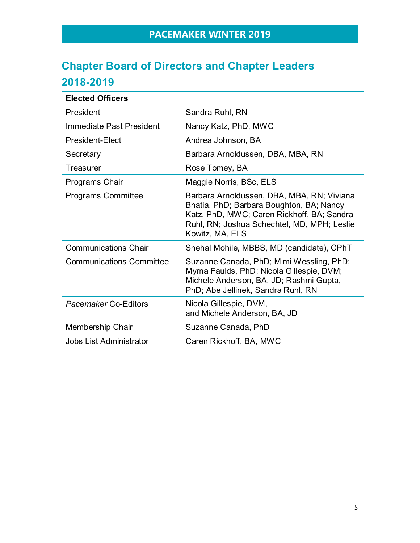# <span id="page-6-0"></span>**Chapter Board of Directors and Chapter Leaders 2018-2019**

<span id="page-6-1"></span>

| <b>Elected Officers</b>         |                                                                                                                                                                                                        |
|---------------------------------|--------------------------------------------------------------------------------------------------------------------------------------------------------------------------------------------------------|
| President                       | Sandra Ruhl, RN                                                                                                                                                                                        |
| Immediate Past President        | Nancy Katz, PhD, MWC                                                                                                                                                                                   |
| President-Elect                 | Andrea Johnson, BA                                                                                                                                                                                     |
| Secretary                       | Barbara Arnoldussen, DBA, MBA, RN                                                                                                                                                                      |
| Treasurer                       | Rose Tomey, BA                                                                                                                                                                                         |
| Programs Chair                  | Maggie Norris, BSc, ELS                                                                                                                                                                                |
| <b>Programs Committee</b>       | Barbara Arnoldussen, DBA, MBA, RN; Viviana<br>Bhatia, PhD; Barbara Boughton, BA; Nancy<br>Katz, PhD, MWC; Caren Rickhoff, BA; Sandra<br>Ruhl, RN; Joshua Schechtel, MD, MPH; Leslie<br>Kowitz, MA, ELS |
| <b>Communications Chair</b>     | Snehal Mohile, MBBS, MD (candidate), CPhT                                                                                                                                                              |
| <b>Communications Committee</b> | Suzanne Canada, PhD; Mimi Wessling, PhD;<br>Myrna Faulds, PhD; Nicola Gillespie, DVM;<br>Michele Anderson, BA, JD; Rashmi Gupta,<br>PhD; Abe Jellinek, Sandra Ruhl, RN                                 |
| <b>Pacemaker Co-Editors</b>     | Nicola Gillespie, DVM,<br>and Michele Anderson, BA, JD                                                                                                                                                 |
| Membership Chair                | Suzanne Canada, PhD                                                                                                                                                                                    |
| Jobs List Administrator         | Caren Rickhoff, BA, MWC                                                                                                                                                                                |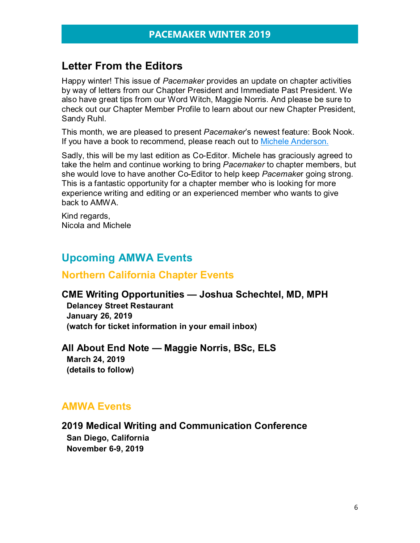## **Letter From the Editors**

Happy winter! This issue of *Pacemaker* provides an update on chapter activities by way of letters from our Chapter President and Immediate Past President. We also have great tips from our Word Witch, Maggie Norris. And please be sure to check out our Chapter Member Profile to learn about our new Chapter President, Sandy Ruhl.

This month, we are pleased to present *Pacemaker*'s newest feature: Book Nook. If you have a book to recommend, please reach out to [Michele Anderson.](http://amwancal.org/contacts/)

Sadly, this will be my last edition as Co-Editor. Michele has graciously agreed to take the helm and continue working to bring *Pacemaker* to chapter members, but she would love to have another Co-Editor to help keep *Pacemake*r going strong. This is a fantastic opportunity for a chapter member who is looking for more experience writing and editing or an experienced member who wants to give back to AMWA.

Kind regards, Nicola and Michele

## <span id="page-7-0"></span>**Upcoming AMWA Events**

### **Northern California Chapter Events**

### **CME Writing Opportunities — Joshua Schechtel, MD, MPH**

**Delancey Street Restaurant January 26, 2019 (watch for ticket information in your email inbox)**

### **All About End Note — Maggie Norris, BSc, ELS**

**March 24, 2019 (details to follow)**

### **AMWA Events**

# **2019 Medical Writing and Communication Conference**

**San Diego, California November 6-9, 2019**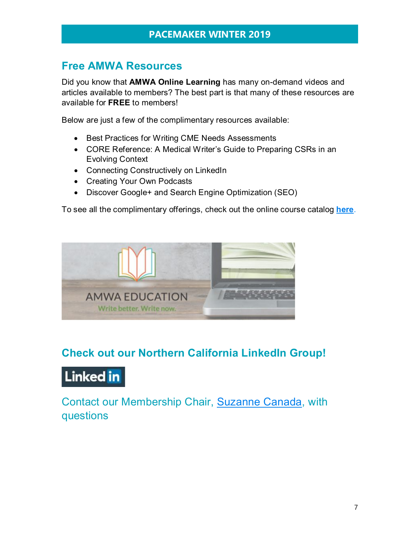## <span id="page-8-0"></span>**Free AMWA Resources**

Did you know that **AMWA Online Learning** has many on-demand videos and articles available to members? The best part is that many of these resources are available for **FREE** to members!

Below are just a few of the complimentary resources available:

- Best Practices for Writing CME Needs Assessments
- CORE Reference: A Medical Writer's Guide to Preparing CSRs in an Evolving Context
- Connecting Constructively on LinkedIn
- Creating Your Own Podcasts
- Discover Google+ and Search Engine Optimization (SEO)

To see all the complimentary offerings, check out the online course catalog **[here](http://amwa.mycrowdwisdom.com/diweb/catalog/q/complimentary/c/185/f2/1/n/1)**.



# **Check out our Northern California LinkedIn Group!**

# **Linked** in

Contact our Membership Chair, [Suzanne Canada,](http://amwancal.org/contacts/) with questions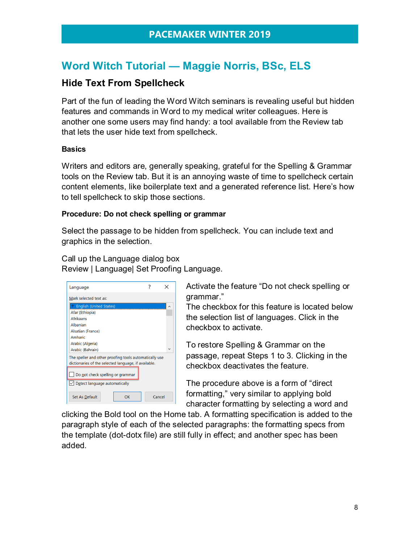# <span id="page-9-0"></span>**Word Witch Tutorial — Maggie Norris, BSc, ELS**

### **Hide Text From Spellcheck**

Part of the fun of leading the Word Witch seminars is revealing useful but hidden features and commands in Word to my medical writer colleagues. Here is another one some users may find handy: a tool available from the Review tab that lets the user hide text from spellcheck.

#### **Basics**

Writers and editors are, generally speaking, grateful for the Spelling & Grammar tools on the Review tab. But it is an annoying waste of time to spellcheck certain content elements, like boilerplate text and a generated reference list. Here's how to tell spellcheck to skip those sections.

#### **Procedure: Do not check spelling or grammar**

Select the passage to be hidden from spellcheck. You can include text and graphics in the selection.

Call up the Language dialog box

Review | Language| Set Proofing Language.

| Language                                                                                                       |    |  |           |  |  |
|----------------------------------------------------------------------------------------------------------------|----|--|-----------|--|--|
| Mark selected text as:                                                                                         |    |  |           |  |  |
| <b>English (United States)</b>                                                                                 |    |  | $\lambda$ |  |  |
| Afar (Ethiopia)                                                                                                |    |  |           |  |  |
| <b>Afrikaans</b>                                                                                               |    |  |           |  |  |
| Albanian                                                                                                       |    |  |           |  |  |
| <b>Alsatian (France)</b>                                                                                       |    |  |           |  |  |
| Amharic                                                                                                        |    |  |           |  |  |
| Arabic (Algeria)                                                                                               |    |  |           |  |  |
| Arabic (Bahrain)                                                                                               |    |  |           |  |  |
| The speller and other proofing tools automatically use<br>dictionaries of the selected language, if available. |    |  |           |  |  |
| Do not check spelling or grammar                                                                               |    |  |           |  |  |
| $\vee$ Detect language automatically                                                                           |    |  |           |  |  |
| <b>Set As Default</b>                                                                                          | OK |  | Cancel    |  |  |

Activate the feature "Do not check spelling or grammar."

The checkbox for this feature is located below the selection list of languages. Click in the checkbox to activate.

To restore Spelling & Grammar on the passage, repeat Steps 1 to 3. Clicking in the checkbox deactivates the feature.

The procedure above is a form of "direct formatting," very similar to applying bold character formatting by selecting a word and

clicking the Bold tool on the Home tab. A formatting specification is added to the paragraph style of each of the selected paragraphs: the formatting specs from the template (dot-dotx file) are still fully in effect; and another spec has been added.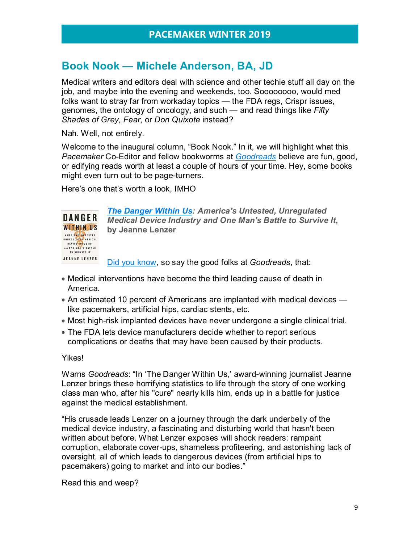# <span id="page-10-0"></span>**Book Nook — Michele Anderson, BA, JD**

Medical writers and editors deal with science and other techie stuff all day on the job, and maybe into the evening and weekends, too. Soooooooo, would med folks want to stray far from workaday topics — the FDA regs, Crispr issues, genomes, the ontology of oncology, and such — and read things like *Fifty Shades of Grey, Fear*, or *Don Quixote* instead?

Nah. Well, not entirely.

Welcome to the inaugural column, "Book Nook." In it, we will highlight what this *Pacemaker* Co-Editor and fellow bookworms at *[Goodreads](https://www.goodreads.com/)* believe are fun, good, or edifying reads worth at least a couple of hours of your time. Hey, some books might even turn out to be page-turners.

Here's one that's worth a look, IMHO



*[The Danger Within Us:](https://www.goodreads.com/book/show/34848769-the-danger-within-us?from_search=true) America's Untested, Unregulated Medical Device Industry and One Man's Battle to Survive It***, by Jeanne Lenzer**

[Did you know,](https://www.goodreads.com/book/show/34848769-the-danger-within-us?from_search=true) so say the good folks at *Goodreads*, that:

- Medical interventions have become the third leading cause of death in America.
- An estimated 10 percent of Americans are implanted with medical devices like pacemakers, artificial hips, cardiac stents, etc.
- Most high-risk implanted devices have never undergone a single clinical trial.
- The FDA lets device manufacturers decide whether to report serious complications or deaths that may have been caused by their products.

#### Yikes!

Warns *Goodreads*: "In 'The Danger Within Us,' award-winning journalist Jeanne Lenzer brings these horrifying statistics to life through the story of one working class man who, after his "cure" nearly kills him, ends up in a battle for justice against the medical establishment.

"His crusade leads Lenzer on a journey through the dark underbelly of the medical device industry, a fascinating and disturbing world that hasn't been written about before. What Lenzer exposes will shock readers: rampant corruption, elaborate cover-ups, shameless profiteering, and astonishing lack of oversight, all of which leads to dangerous devices (from artificial hips to pacemakers) going to market and into our bodies."

Read this and weep?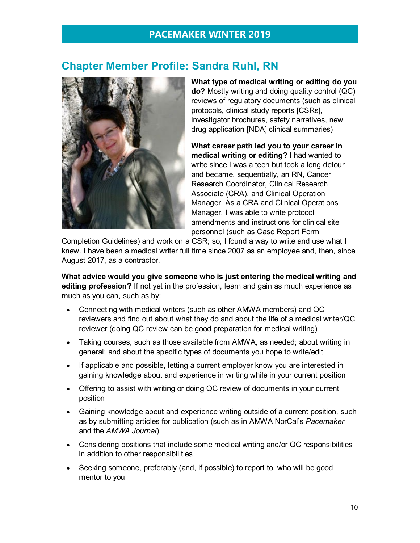# <span id="page-11-0"></span>**Chapter Member Profile: Sandra Ruhl, RN**



**What type of medical writing or editing do you do?** Mostly writing and doing quality control (QC) reviews of regulatory documents (such as clinical protocols, clinical study reports [CSRs], investigator brochures, safety narratives, new drug application [NDA] clinical summaries)

**What career path led you to your career in medical writing or editing?** I had wanted to write since I was a teen but took a long detour and became, sequentially, an RN, Cancer Research Coordinator, Clinical Research Associate (CRA), and Clinical Operation Manager. As a CRA and Clinical Operations Manager, I was able to write protocol amendments and instructions for clinical site personnel (such as Case Report Form

Completion Guidelines) and work on a CSR; so, I found a way to write and use what I knew. I have been a medical writer full time since 2007 as an employee and, then, since August 2017, as a contractor.

**What advice would you give someone who is just entering the medical writing and editing profession?** If not yet in the profession, learn and gain as much experience as much as you can, such as by:

- Connecting with medical writers (such as other AMWA members) and QC reviewers and find out about what they do and about the life of a medical writer/QC reviewer (doing QC review can be good preparation for medical writing)
- Taking courses, such as those available from AMWA, as needed; about writing in general; and about the specific types of documents you hope to write/edit
- If applicable and possible, letting a current employer know you are interested in gaining knowledge about and experience in writing while in your current position
- Offering to assist with writing or doing QC review of documents in your current position
- Gaining knowledge about and experience writing outside of a current position, such as by submitting articles for publication (such as in AMWA NorCal's *Pacemaker* and the *AMWA Journal*)
- Considering positions that include some medical writing and/or QC responsibilities in addition to other responsibilities
- Seeking someone, preferably (and, if possible) to report to, who will be good mentor to you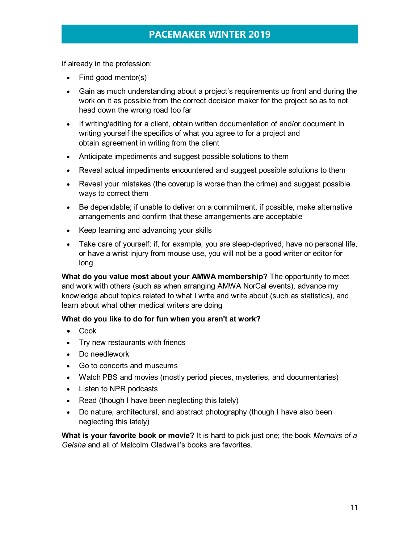If already in the profession:

- Find good mentor(s)
- Gain as much understanding about a project's requirements up front and during the work on it as possible from the correct decision maker for the project so as to not head down the wrong road too far
- If writing/editing for a client, obtain written documentation of and/or document in writing yourself the specifics of what you agree to for a project and obtain agreement in writing from the client
- Anticipate impediments and suggest possible solutions to them
- Reveal actual impediments encountered and suggest possible solutions to them
- Reveal your mistakes (the coverup is worse than the crime) and suggest possible ways to correct them
- Be dependable; if unable to deliver on a commitment, if possible, make alternative arrangements and confirm that these arrangements are acceptable
- Keep learning and advancing your skills
- Take care of yourself; if, for example, you are sleep-deprived, have no personal life, or have a wrist injury from mouse use, you will not be a good writer or editor for long

**What do you value most about your AMWA membership?** The opportunity to meet and work with others (such as when arranging AMWA NorCal events), advance my knowledge about topics related to what I write and write about (such as statistics), and learn about what other medical writers are doing

#### **What do you like to do for fun when you aren't at work?**

- Cook
- Try new restaurants with friends
- Do needlework
- Go to concerts and museums
- Watch PBS and movies (mostly period pieces, mysteries, and documentaries)
- Listen to NPR podcasts
- Read (though I have been neglecting this lately)
- Do nature, architectural, and abstract photography (though I have also been neglecting this lately)

**What is your favorite book or movie?** It is hard to pick just one; the book *Memoirs of a Geisha* and all of Malcolm Gladwell's books are favorites.